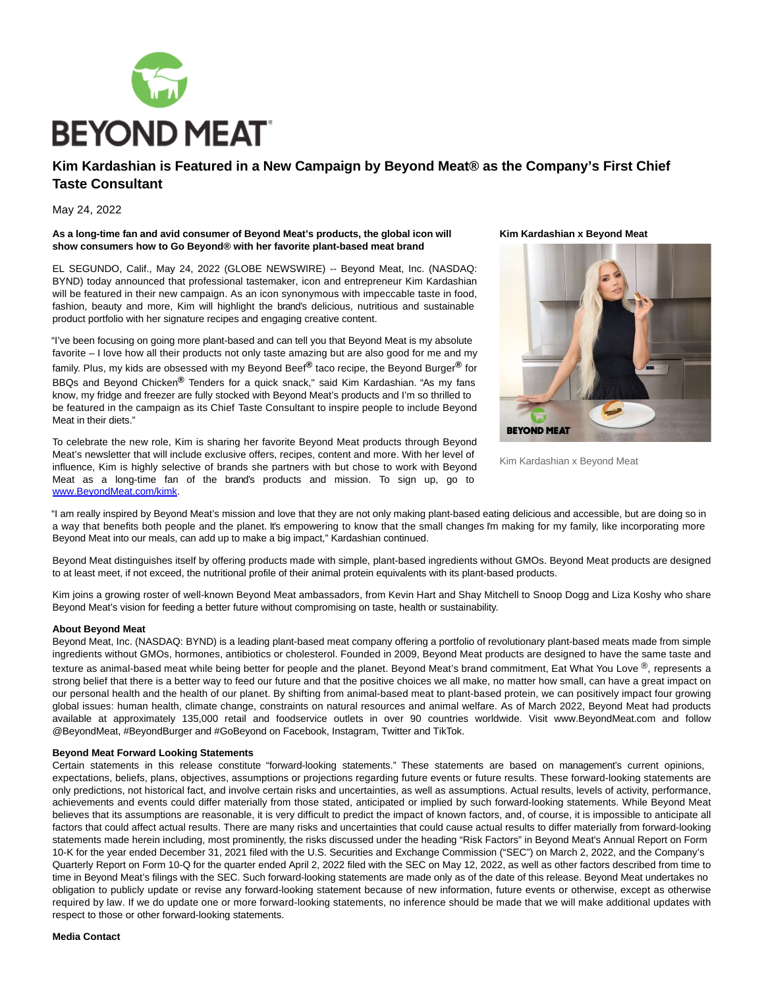

# **Kim Kardashian is Featured in a New Campaign by Beyond Meat® as the Company's First Chief Taste Consultant**

## May 24, 2022

## **As a long-time fan and avid consumer of Beyond Meat's products, the global icon will show consumers how to Go Beyond® with her favorite plant-based meat brand**

EL SEGUNDO, Calif., May 24, 2022 (GLOBE NEWSWIRE) -- Beyond Meat, Inc. (NASDAQ: BYND) today announced that professional tastemaker, icon and entrepreneur Kim Kardashian will be featured in their new campaign. As an icon synonymous with impeccable taste in food, fashion, beauty and more, Kim will highlight the brand's delicious, nutritious and sustainable product portfolio with her signature recipes and engaging creative content.

"I've been focusing on going more plant-based and can tell you that Beyond Meat is my absolute favorite – I love how all their products not only taste amazing but are also good for me and my family. Plus, my kids are obsessed with my Beyond Beef**®** taco recipe, the Beyond Burger**®** for BBQs and Beyond Chicken**®** Tenders for a quick snack," said Kim Kardashian. "As my fans know, my fridge and freezer are fully stocked with Beyond Meat's products and I'm so thrilled to be featured in the campaign as its Chief Taste Consultant to inspire people to include Beyond Meat in their diets."

To celebrate the new role, Kim is sharing her favorite Beyond Meat products through Beyond Meat's newsletter that will include exclusive offers, recipes, content and more. With her level of influence, Kim is highly selective of brands she partners with but chose to work with Beyond Meat as a long-time fan of the brand's products and mission. To sign up, go to [www.BeyondMeat.com/kimk.](https://www.globenewswire.com/Tracker?data=a1D_ubDs09prAoahFQaKK1NXZ_nwafbTDRLJkimNVzKInQmTRqSNCrp395EEHahAlZAKfDXfEaDncgiU5n_1-BJVztbN5dJ5MG6wG8dkaoI=)

**Kim Kardashian x Beyond Meat**



Kim Kardashian x Beyond Meat

"I am really inspired by Beyond Meat's mission and love that they are not only making plant-based eating delicious and accessible, but are doing so in a way that benefits both people and the planet. It's empowering to know that the small changes I'm making for my family, like incorporating more Beyond Meat into our meals, can add up to make a big impact," Kardashian continued.

Beyond Meat distinguishes itself by offering products made with simple, plant-based ingredients without GMOs. Beyond Meat products are designed to at least meet, if not exceed, the nutritional profile of their animal protein equivalents with its plant-based products.

Kim joins a growing roster of well-known Beyond Meat ambassadors, from Kevin Hart and Shay Mitchell to Snoop Dogg and Liza Koshy who share Beyond Meat's vision for feeding a better future without compromising on taste, health or sustainability.

### **About Beyond Meat**

Beyond Meat, Inc. (NASDAQ: BYND) is a leading plant-based meat company offering a portfolio of revolutionary plant-based meats made from simple ingredients without GMOs, hormones, antibiotics or cholesterol. Founded in 2009, Beyond Meat products are designed to have the same taste and texture as animal-based meat while being better for people and the planet. Beyond Meat's brand commitment, Eat What You Love ®, represents a strong belief that there is a better way to feed our future and that the positive choices we all make, no matter how small, can have a great impact on our personal health and the health of our planet. By shifting from animal-based meat to plant-based protein, we can positively impact four growing global issues: human health, climate change, constraints on natural resources and animal welfare. As of March 2022, Beyond Meat had products available at approximately 135,000 retail and foodservice outlets in over 90 countries worldwide. Visit www.BeyondMeat.com and follow @BeyondMeat, #BeyondBurger and #GoBeyond on Facebook, Instagram, Twitter and TikTok.

### **Beyond Meat Forward Looking Statements**

Certain statements in this release constitute "forward-looking statements." These statements are based on management's current opinions, expectations, beliefs, plans, objectives, assumptions or projections regarding future events or future results. These forward-looking statements are only predictions, not historical fact, and involve certain risks and uncertainties, as well as assumptions. Actual results, levels of activity, performance, achievements and events could differ materially from those stated, anticipated or implied by such forward-looking statements. While Beyond Meat believes that its assumptions are reasonable, it is very difficult to predict the impact of known factors, and, of course, it is impossible to anticipate all factors that could affect actual results. There are many risks and uncertainties that could cause actual results to differ materially from forward-looking statements made herein including, most prominently, the risks discussed under the heading "Risk Factors" in Beyond Meat's Annual Report on Form 10-K for the year ended December 31, 2021 filed with the U.S. Securities and Exchange Commission ("SEC") on March 2, 2022, and the Company's Quarterly Report on Form 10-Q for the quarter ended April 2, 2022 filed with the SEC on May 12, 2022, as well as other factors described from time to time in Beyond Meat's filings with the SEC. Such forward-looking statements are made only as of the date of this release. Beyond Meat undertakes no obligation to publicly update or revise any forward-looking statement because of new information, future events or otherwise, except as otherwise required by law. If we do update one or more forward-looking statements, no inference should be made that we will make additional updates with respect to those or other forward-looking statements.